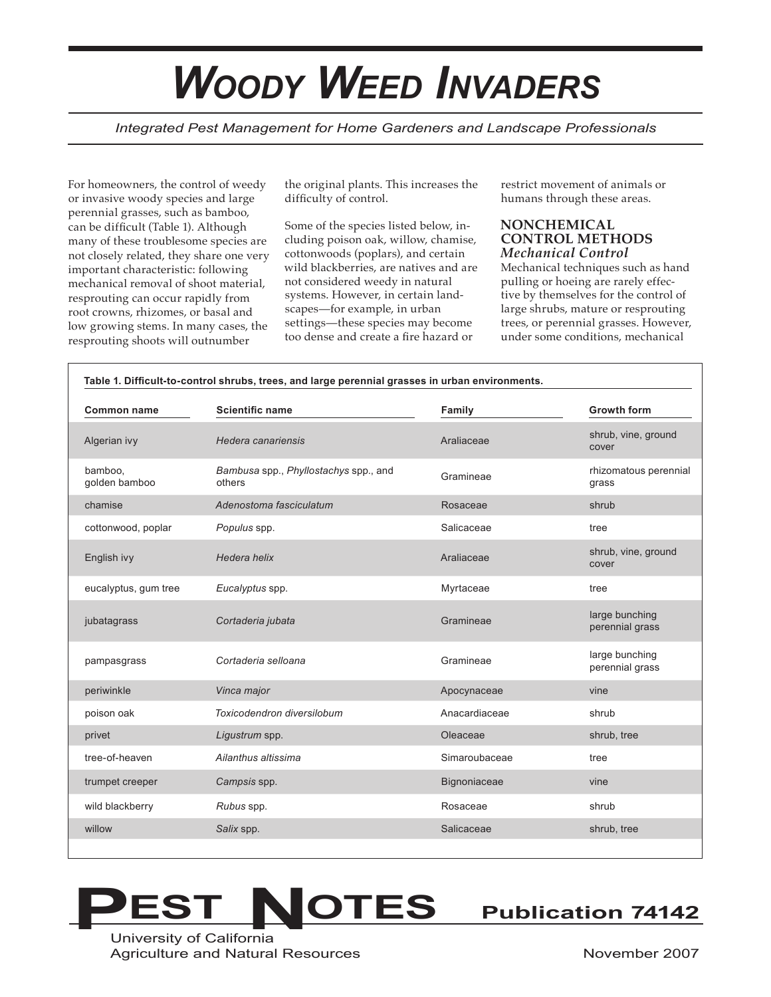# *WOODY WEED INVADERS*

*Integrated Pest Management for Home Gardeners and Landscape Professionals*

For homeowners, the control of weedy or invasive woody species and large perennial grasses, such as bamboo, can be difficult (Table 1). Although many of these troublesome species are not closely related, they share one very important characteristic: following mechanical removal of shoot material, resprouting can occur rapidly from root crowns, rhizomes, or basal and low growing stems. In many cases, the resprouting shoots will outnumber

the original plants. This increases the difficulty of control.

Some of the species listed below, including poison oak, willow, chamise, cottonwoods (poplars), and certain wild blackberries, are natives and are not considered weedy in natural systems. However, in certain landscapes—for example, in urban settings—these species may become too dense and create a fire hazard or

restrict movement of animals or humans through these areas.

#### **NONCHEMICAL CONTROL METHODS** *Mechanical Control*

Mechanical techniques such as hand pulling or hoeing are rarely effective by themselves for the control of large shrubs, mature or resprouting trees, or perennial grasses. However, under some conditions, mechanical

| Table 1. Difficult-to-control shrubs, trees, and large perennial grasses in urban environments. |                                                 |               |                                   |
|-------------------------------------------------------------------------------------------------|-------------------------------------------------|---------------|-----------------------------------|
| <b>Common name</b>                                                                              | <b>Scientific name</b>                          | Family        | <b>Growth form</b>                |
| Algerian ivy                                                                                    | Hedera canariensis                              | Araliaceae    | shrub, vine, ground<br>cover      |
| bamboo.<br>golden bamboo                                                                        | Bambusa spp., Phyllostachys spp., and<br>others | Gramineae     | rhizomatous perennial<br>grass    |
| chamise                                                                                         | Adenostoma fasciculatum                         | Rosaceae      | shrub                             |
| cottonwood, poplar                                                                              | Populus spp.                                    | Salicaceae    | tree                              |
| English ivy                                                                                     | Hedera helix                                    | Araliaceae    | shrub, vine, ground<br>cover      |
| eucalyptus, gum tree                                                                            | Eucalyptus spp.                                 | Myrtaceae     | tree                              |
| jubatagrass                                                                                     | Cortaderia jubata                               | Gramineae     | large bunching<br>perennial grass |
| pampasgrass                                                                                     | Cortaderia selloana                             | Gramineae     | large bunching<br>perennial grass |
| periwinkle                                                                                      | Vinca major                                     | Apocynaceae   | vine                              |
| poison oak                                                                                      | Toxicodendron diversilobum                      | Anacardiaceae | shrub                             |
| privet                                                                                          | Ligustrum spp.                                  | Oleaceae      | shrub, tree                       |
| tree-of-heaven                                                                                  | Ailanthus altissima                             | Simaroubaceae | tree                              |
| trumpet creeper                                                                                 | Campsis spp.                                    | Bignoniaceae  | vine                              |
| wild blackberry                                                                                 | Rubus spp.                                      | Rosaceae      | shrub                             |
| willow                                                                                          | Salix spp.                                      | Salicaceae    | shrub, tree                       |



University of California Agriculture and Natural Resources **November 2007** November 2007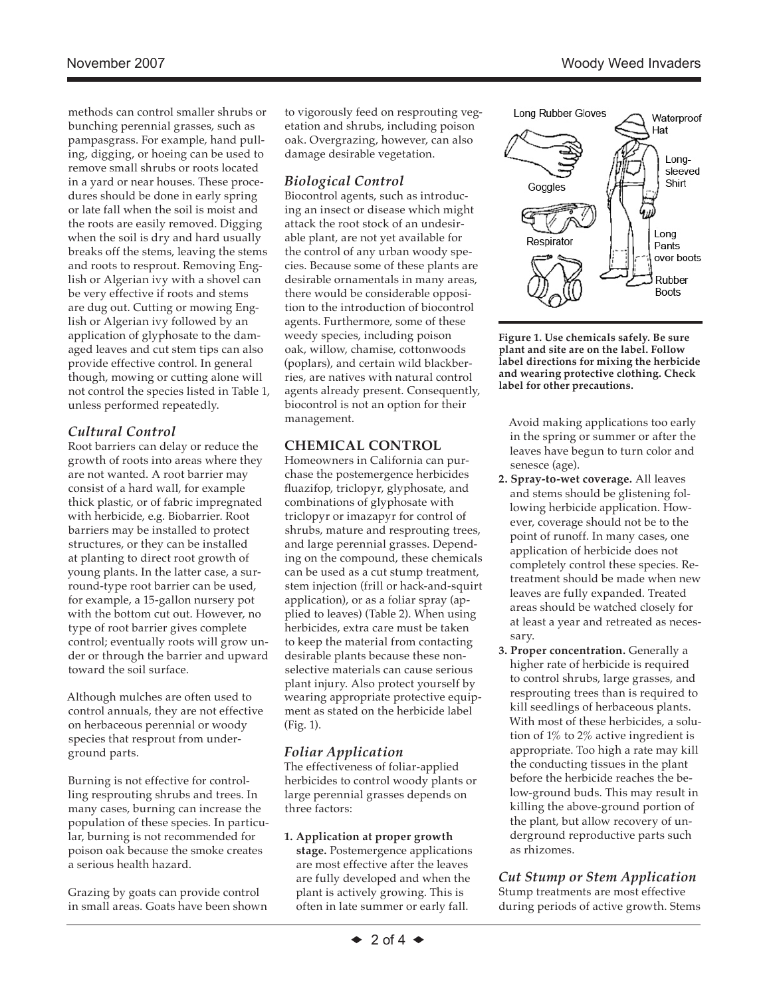methods can control smaller shrubs or bunching perennial grasses, such as pampasgrass. For example, hand pulling, digging, or hoeing can be used to remove small shrubs or roots located in a yard or near houses. These procedures should be done in early spring or late fall when the soil is moist and the roots are easily removed. Digging when the soil is dry and hard usually breaks off the stems, leaving the stems and roots to resprout. Removing English or Algerian ivy with a shovel can be very effective if roots and stems are dug out. Cutting or mowing English or Algerian ivy followed by an application of glyphosate to the damaged leaves and cut stem tips can also provide effective control. In general though, mowing or cutting alone will not control the species listed in Table 1, unless performed repeatedly.

## *Cultural Control*

Root barriers can delay or reduce the growth of roots into areas where they are not wanted. A root barrier may consist of a hard wall, for example thick plastic, or of fabric impregnated with herbicide, e.g. Biobarrier. Root barriers may be installed to protect structures, or they can be installed at planting to direct root growth of young plants. In the latter case, a surround-type root barrier can be used, for example, a 15-gallon nursery pot with the bottom cut out. However, no type of root barrier gives complete control; eventually roots will grow under or through the barrier and upward toward the soil surface.

Although mulches are often used to control annuals, they are not effective on herbaceous perennial or woody species that resprout from underground parts.

Burning is not effective for controlling resprouting shrubs and trees. In many cases, burning can increase the population of these species. In particular, burning is not recommended for poison oak because the smoke creates a serious health hazard.

Grazing by goats can provide control in small areas. Goats have been shown to vigorously feed on resprouting vegetation and shrubs, including poison oak. Overgrazing, however, can also damage desirable vegetation.

## *Biological Control*

Biocontrol agents, such as introducing an insect or disease which might attack the root stock of an undesirable plant, are not yet available for the control of any urban woody species. Because some of these plants are desirable ornamentals in many areas, there would be considerable opposition to the introduction of biocontrol agents. Furthermore, some of these weedy species, including poison oak, willow, chamise, cottonwoods (poplars), and certain wild blackberries, are natives with natural control agents already present. Consequently, biocontrol is not an option for their management.

# **CHEMICAL CONTROL**

Homeowners in California can purchase the postemergence herbicides fluazifop, triclopyr, glyphosate, and combinations of glyphosate with triclopyr or imazapyr for control of shrubs, mature and resprouting trees, and large perennial grasses. Depending on the compound, these chemicals can be used as a cut stump treatment, stem injection (frill or hack-and-squirt application), or as a foliar spray (applied to leaves) (Table 2). When using herbicides, extra care must be taken to keep the material from contacting desirable plants because these nonselective materials can cause serious plant injury. Also protect yourself by wearing appropriate protective equipment as stated on the herbicide label (Fig. 1).

#### *Foliar Application*

The effectiveness of foliar-applied herbicides to control woody plants or large perennial grasses depends on three factors:

#### **1. Application at proper growth**

**stage.** Postemergence applications are most effective after the leaves are fully developed and when the plant is actively growing. This is often in late summer or early fall.



**Figure 1. Use chemicals safely. Be sure plant and site are on the label. Follow label directions for mixing the herbicide and wearing protective clothing. Check label for other precautions.**

Avoid making applications too early in the spring or summer or after the leaves have begun to turn color and senesce (age).

- **2. Spray-to-wet coverage.** All leaves and stems should be glistening following herbicide application. However, coverage should not be to the point of runoff. In many cases, one application of herbicide does not completely control these species. Retreatment should be made when new leaves are fully expanded. Treated areas should be watched closely for at least a year and retreated as necessary.
- **3. Proper concentration.** Generally a higher rate of herbicide is required to control shrubs, large grasses, and resprouting trees than is required to kill seedlings of herbaceous plants. With most of these herbicides, a solution of 1% to 2% active ingredient is appropriate. Too high a rate may kill the conducting tissues in the plant before the herbicide reaches the below-ground buds. This may result in killing the above-ground portion of the plant, but allow recovery of underground reproductive parts such as rhizomes.

*Cut Stump or Stem Application* Stump treatments are most effective during periods of active growth. Stems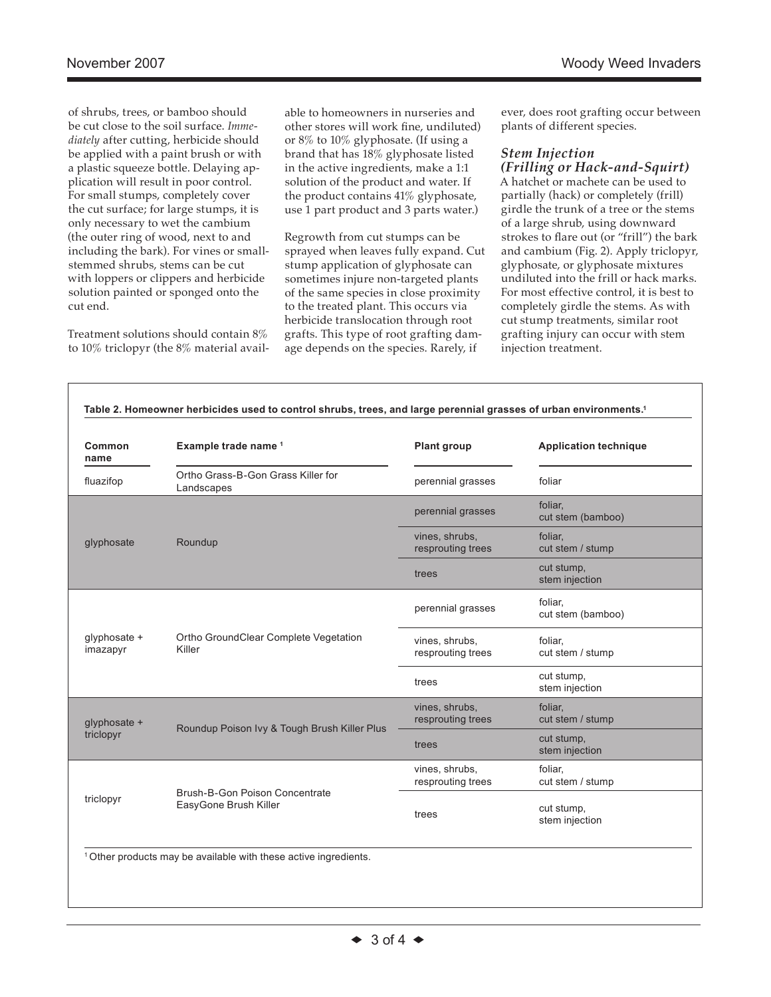of shrubs, trees, or bamboo should be cut close to the soil surface. *Immediately* after cutting, herbicide should be applied with a paint brush or with a plastic squeeze bottle. Delaying application will result in poor control. For small stumps, completely cover the cut surface; for large stumps, it is only necessary to wet the cambium (the outer ring of wood, next to and including the bark). For vines or smallstemmed shrubs, stems can be cut with loppers or clippers and herbicide solution painted or sponged onto the cut end.

Treatment solutions should contain 8% to 10% triclopyr (the 8% material available to homeowners in nurseries and other stores will work fine, undiluted) or 8% to 10% glyphosate. (If using a brand that has 18% glyphosate listed in the active ingredients, make a 1:1 solution of the product and water. If the product contains 41% glyphosate, use 1 part product and 3 parts water.)

Regrowth from cut stumps can be sprayed when leaves fully expand. Cut stump application of glyphosate can sometimes injure non-targeted plants of the same species in close proximity to the treated plant. This occurs via herbicide translocation through root grafts. This type of root grafting damage depends on the species. Rarely, if

ever, does root grafting occur between plants of different species.

# *Stem Injection*

*(Frilling or Hack-and-Squirt)* A hatchet or machete can be used to partially (hack) or completely (frill) girdle the trunk of a tree or the stems of a large shrub, using downward strokes to flare out (or "frill") the bark and cambium (Fig. 2). Apply triclopyr, glyphosate, or glyphosate mixtures undiluted into the frill or hack marks. For most effective control, it is best to completely girdle the stems. As with cut stump treatments, similar root grafting injury can occur with stem injection treatment.

| Common<br>name            | Example trade name 1                                    | Plant group                         | <b>Application technique</b> |
|---------------------------|---------------------------------------------------------|-------------------------------------|------------------------------|
| fluazifop                 | Ortho Grass-B-Gon Grass Killer for<br>Landscapes        | perennial grasses                   | foliar                       |
| glyphosate                | Roundup                                                 | perennial grasses                   | foliar,<br>cut stem (bamboo) |
|                           |                                                         | vines, shrubs,<br>resprouting trees | foliar,<br>cut stem / stump  |
|                           |                                                         | trees                               | cut stump,<br>stem injection |
| glyphosate +<br>imazapyr  | Ortho GroundClear Complete Vegetation<br>Killer         | perennial grasses                   | foliar.<br>cut stem (bamboo) |
|                           |                                                         | vines, shrubs,<br>resprouting trees | foliar.<br>cut stem / stump  |
|                           |                                                         | trees                               | cut stump,<br>stem injection |
| glyphosate +<br>triclopyr | Roundup Poison Ivy & Tough Brush Killer Plus            | vines, shrubs,<br>resprouting trees | foliar.<br>cut stem / stump  |
|                           |                                                         | trees                               | cut stump,<br>stem injection |
| triclopyr                 | Brush-B-Gon Poison Concentrate<br>EasyGone Brush Killer | vines, shrubs,<br>resprouting trees | foliar,<br>cut stem / stump  |
|                           |                                                         | trees                               | cut stump,<br>stem injection |